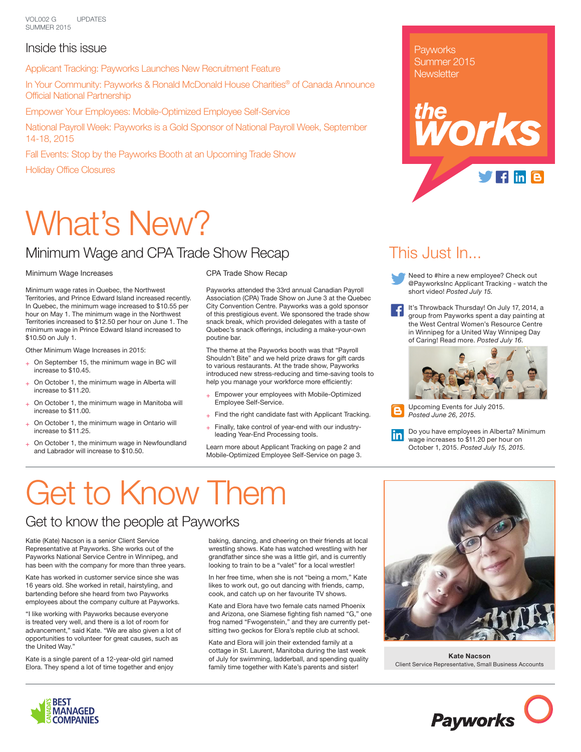VOL002 G SUMMER 2015 UPDATES

#### Inside this issue

Applicant Tracking: Payworks Launches New Recruitment Feature

In Your Community: Payworks & Ronald McDonald House Charities® of Canada Announce Official National Partnership

Empower Your Employees: Mobile-Optimized Employee Self-Service

National Payroll Week: Payworks is a Gold Sponsor of National Payroll Week, September 14-18, 2015

Fall Events: Stop by the Payworks Booth at an Upcoming Trade Show Holiday Office Closures

# What's New?

### Minimum Wage and CPA Trade Show Recap

#### Minimum Wage Increases

Minimum wage rates in Quebec, the Northwest Territories, and Prince Edward Island increased recently. In Quebec, the minimum wage increased to \$10.55 per hour on May 1. The minimum wage in the Northwest Territories increased to \$12.50 per hour on June 1. The minimum wage in Prince Edward Island increased to \$10.50 on July 1.

Other Minimum Wage Increases in 2015:

- On September 15, the minimum wage in BC will increase to \$10.45.
- On October 1, the minimum wage in Alberta will increase to \$11.20.
- On October 1, the minimum wage in Manitoba will increase to \$11.00.
- + On October 1, the minimum wage in Ontario will increase to \$11.25.
- On October 1, the minimum wage in Newfoundland and Labrador will increase to \$10.50.

CPA Trade Show Recap

Payworks attended the 33rd annual Canadian Payroll Association (CPA) Trade Show on June 3 at the Quebec City Convention Centre. Payworks was a gold sponsor of this prestigious event. We sponsored the trade show snack break, which provided delegates with a taste of Quebec's snack offerings, including a make-your-own poutine bar.

The theme at the Payworks booth was that "Payroll Shouldn't Bite" and we held prize draws for gift cards to various restaurants. At the trade show, Payworks introduced new stress-reducing and time-saving tools to help you manage your workforce more efficiently:

- + Empower your employees with Mobile-Optimized Employee Self-Service.
- $+$  Find the right candidate fast with Applicant Tracking.
- $+$  Finally, take control of year-end with our industryleading Year-End Processing tools.

Learn more about Applicant Tracking on page 2 and Mobile-Optimized Employee Self-Service on page 3. **Payworks** Summer 2015 **Newsletter** 



### This Just In...

- Need to #hire a new employee? Check out @PayworksInc Applicant Tracking - watch the short video! *Posted July 15.*
- It's Throwback Thursday! On July 17, 2014, a group from Payworks spent a day painting at the West Central Women's Resource Centre in Winnipeg for a United Way Winnipeg Day of Caring! Read more. *Posted July 16.*



Upcoming Events for July 2015. *Posted June 26, 2015.*



## Get to Know Them

### Get to know the people at Payworks

Katie (Kate) Nacson is a senior Client Service Representative at Payworks. She works out of the Payworks National Service Centre in Winnipeg, and has been with the company for more than three years.

Kate has worked in customer service since she was 16 years old. She worked in retail, hairstyling, and bartending before she heard from two Payworks employees about the company culture at Payworks.

"I like working with Payworks because everyone is treated very well, and there is a lot of room for advancement," said Kate. "We are also given a lot of opportunities to volunteer for great causes, such as the United Way."

Kate is a single parent of a 12-year-old girl named Elora. They spend a lot of time together and enjoy baking, dancing, and cheering on their friends at local wrestling shows. Kate has watched wrestling with her grandfather since she was a little girl, and is currently looking to train to be a "valet" for a local wrestler!

In her free time, when she is not "being a mom," Kate likes to work out, go out dancing with friends, camp, cook, and catch up on her favourite TV shows.

Kate and Elora have two female cats named Phoenix and Arizona, one Siamese fighting fish named "G," one frog named "Fwogenstein," and they are currently petsitting two geckos for Elora's reptile club at school.

Kate and Elora will join their extended family at a cottage in St. Laurent, Manitoba during the last week of July for swimming, ladderball, and spending quality family time together with Kate's parents and sister!



**Kate Nacson** Client Service Representative, Small Business Accounts



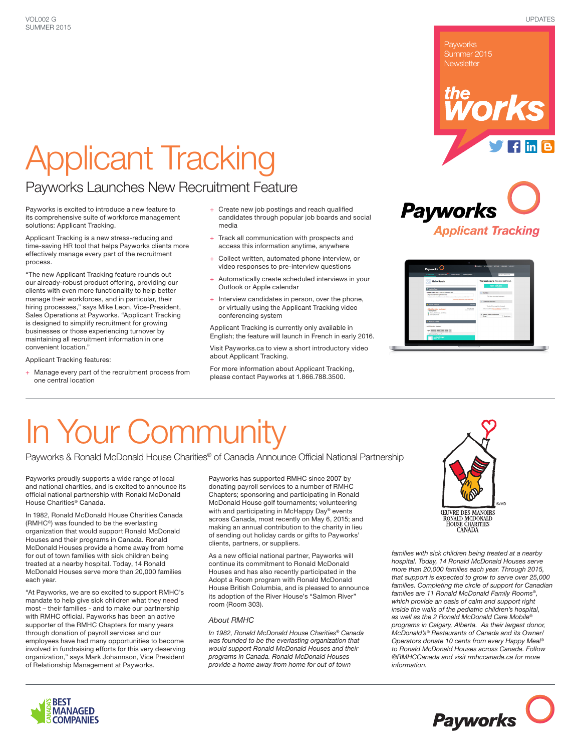# Applicant Tracking

#### Payworks Launches New Recruitment Feature

Payworks is excited to introduce a new feature to its comprehensive suite of workforce management solutions: Applicant Tracking.

Applicant Tracking is a new stress-reducing and time-saving HR tool that helps Payworks clients more effectively manage every part of the recruitment process.

"The new Applicant Tracking feature rounds out our already-robust product offering, providing our clients with even more functionality to help better manage their workforces, and in particular, their hiring processes," says Mike Leon, Vice-President, Sales Operations at Payworks. "Applicant Tracking is designed to simplify recruitment for growing businesses or those experiencing turnover by maintaining all recruitment information in one convenient location."

Applicant Tracking features:

+ Manage every part of the recruitment process from one central location

- + Create new job postings and reach qualified candidates through popular job boards and social media
- + Track all communication with prospects and access this information anytime, anywhere
- Collect written, automated phone interview, or video responses to pre-interview questions
- Automatically create scheduled interviews in your Outlook or Apple calendar
- Interview candidates in person, over the phone, or virtually using the Applicant Tracking video conferencing system

Applicant Tracking is currently only available in English; the feature will launch in French in early 2016.

Visit Payworks.ca to view a short introductory video about Applicant Tracking.

For more information about Applicant Tracking, please contact Payworks at 1.866.788.3500.



Payworks Summer 2015 **Newsletter** 

*the*

| County   WYORNIA   MTNOS   WISHING   LOCOLT<br>Payworks <sup>O</sup>                                                                                                                                                                        |                                                                                                                                                   |
|---------------------------------------------------------------------------------------------------------------------------------------------------------------------------------------------------------------------------------------------|---------------------------------------------------------------------------------------------------------------------------------------------------|
| <b>CARMONED</b><br><b>MAAGE JOIN</b><br><b>ATENEAS</b><br>CHACARDING                                                                                                                                                                        | <b>STARTH APPLICANTS</b>                                                                                                                          |
| <b>Hello Sarah</b>                                                                                                                                                                                                                          | The best way to hire and got hired.<br>POST NEW JOB                                                                                               |
| <b>RI 18V Jobs Page</b><br>then all of your labs at once with your Jobs Page!<br>http://popeam-tex.pethined.local<br>Highlam and Press Cont & Contractor and press and process and processed the News<br>Guitarian McGomen Films John Pares | <b>CI MY POOK</b><br>You have no shreed measures.<br>A Conferrant Interviews                                                                      |
| <b>My as Parrow</b><br><b>There</b><br><b>Bally Produkt</b><br>Administration Assistant<br><b>Build delivers</b><br><b>J May Auditoria</b><br>G Oters, Old Canada - Sand Har-<br><b>B</b> Total Agains and 3                                | You don't have any interelient and<br>In the meanting. And excellence pushells more<br>- Instant Volen Conference<br>Email<br><b>Send Insurer</b> |
| <b>A. Applicant Tracker</b><br><b>Administration Assistant</b><br>Personal antist Office Island<br><b>Mark</b><br>$\sim$<br>3 society native select<br>Andrew Burger<br>Ottes: Of                                                           |                                                                                                                                                   |

# In Your Community

Payworks & Ronald McDonald House Charities® of Canada Announce Official National Partnership

Payworks proudly supports a wide range of local and national charities, and is excited to announce its official national partnership with Ronald McDonald House Charities® Canada.

In 1982, Ronald McDonald House Charities Canada (RMHC®) was founded to be the everlasting organization that would support Ronald McDonald Houses and their programs in Canada. Ronald McDonald Houses provide a home away from home for out of town families with sick children being treated at a nearby hospital. Today, 14 Ronald McDonald Houses serve more than 20,000 families each year.

"At Payworks, we are so excited to support RMHC's mandate to help give sick children what they need most – their families - and to make our partnership with RMHC official. Payworks has been an active supporter of the RMHC Chapters for many years through donation of payroll services and our employees have had many opportunities to become involved in fundraising efforts for this very deserving organization," says Mark Johannson, Vice President of Relationship Management at Payworks.

Payworks has supported RMHC since 2007 by donating payroll services to a number of RMHC Chapters; sponsoring and participating in Ronald McDonald House golf tournaments; volunteering with and participating in McHappy Day® events across Canada, most recently on May 6, 2015; and making an annual contribution to the charity in lieu of sending out holiday cards or gifts to Payworks' clients, partners, or suppliers.

As a new official national partner, Payworks will continue its commitment to Ronald McDonald Houses and has also recently participated in the Adopt a Room program with Ronald McDonald House British Columbia, and is pleased to announce its adoption of the River House's "Salmon River" room (Room 303).

#### *About RMHC*

*In 1982, Ronald McDonald House Charities® Canada was founded to be the everlasting organization that would support Ronald McDonald Houses and their programs in Canada. Ronald McDonald Houses provide a home away from home for out of town* 



*families with sick children being treated at a nearby hospital. Today, 14 Ronald McDonald Houses serve more than 20,000 families each year. Through 2015, that support is expected to grow to serve over 25,000 families. Completing the circle of support for Canadian families are 11 Ronald McDonald Family Rooms®, which provide an oasis of calm and support right inside the walls of the pediatric children's hospital, as well as the 2 Ronald McDonald Care Mobile® programs in Calgary, Alberta. As their largest donor, McDonald's® Restaurants of Canada and its Owner/ Operators donate 10 cents from every Happy Meal® to Ronald McDonald Houses across Canada. Follow @RMHCCanada and visit rmhccanada.ca for more information.*





orks